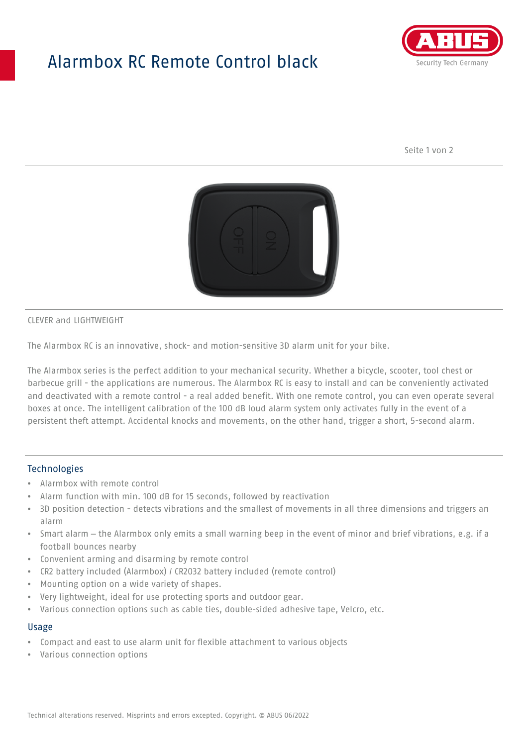## Alarmbox RC Remote Control black



Seite 1 von 2



CLEVER and LIGHTWEIGHT

The Alarmbox RC is an innovative, shock- and motion-sensitive 3D alarm unit for your bike.

The Alarmbox series is the perfect addition to your mechanical security. Whether a bicycle, scooter, tool chest or barbecue grill - the applications are numerous. The Alarmbox RC is easy to install and can be conveniently activated and deactivated with a remote control - a real added benefit. With one remote control, you can even operate several boxes at once. The intelligent calibration of the 100 dB loud alarm system only activates fully in the event of a persistent theft attempt. Accidental knocks and movements, on the other hand, trigger a short, 5-second alarm.

#### **Technologies**

- Alarmbox with remote control
- Alarm function with min. 100 dB for 15 seconds, followed by reactivation
- 3D position detection detects vibrations and the smallest of movements in all three dimensions and triggers an alarm
- Smart alarm the Alarmbox only emits a small warning beep in the event of minor and brief vibrations, e.g. if a football bounces nearby
- Convenient arming and disarming by remote control
- CR2 battery included (Alarmbox) / CR2032 battery included (remote control)
- Mounting option on a wide variety of shapes.
- Very lightweight, ideal for use protecting sports and outdoor gear.
- Various connection options such as cable ties, double-sided adhesive tape, Velcro, etc.

#### Usage

- Compact and east to use alarm unit for flexible attachment to various objects
- Various connection options